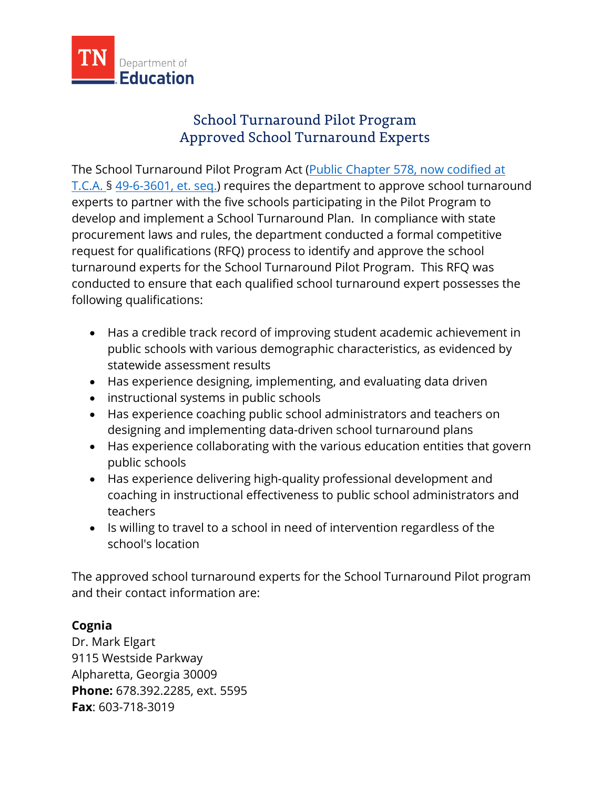

## School Turnaround Pilot Program Approved School Turnaround Experts

The School Turnaround Pilot Program Act [\(Public Chapter 578,](https://publications.tnsosfiles.com/acts/112/pub/pc0578.pdf) now codified at T.C.A. § 49-6-3601, et. seq.) requires the department to approve school turnaround experts to partner with the five schools participating in the Pilot Program to develop and implement a School Turnaround Plan. In compliance with state procurement laws and rules, the department conducted a formal competitive request for qualifications (RFQ) process to identify and approve the school turnaround experts for the School Turnaround Pilot Program. This RFQ was conducted to ensure that each qualified school turnaround expert possesses the following qualifications:

- Has a credible track record of improving student academic achievement in public schools with various demographic characteristics, as evidenced by statewide assessment results
- Has experience designing, implementing, and evaluating data driven
- instructional systems in public schools
- Has experience coaching public school administrators and teachers on designing and implementing data-driven school turnaround plans
- Has experience collaborating with the various education entities that govern public schools
- Has experience delivering high-quality professional development and coaching in instructional effectiveness to public school administrators and teachers
- Is willing to travel to a school in need of intervention regardless of the school's location

The approved school turnaround experts for the School Turnaround Pilot program and their contact information are:

## **Cognia**

Dr. Mark Elgart 9115 Westside Parkway Alpharetta, Georgia 30009 **Phone:** 678.392.2285, ext. 5595 **Fax**: 603-718-3019